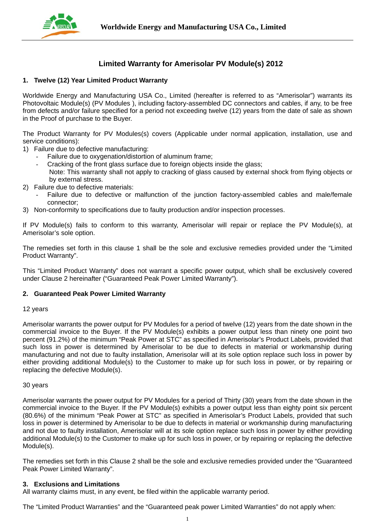

# **Limited Warranty for Amerisolar PV Module(s) 2012**

# **1. Twelve (12) Year Limited Product Warranty**

Worldwide Energy and Manufacturing USA Co., Limited (hereafter is referred to as "Amerisolar") warrants its Photovoltaic Module(s) (PV Modules ), including factory-assembled DC connectors and cables, if any, to be free from defects and/or failure specified for a period not exceeding twelve (12) years from the date of sale as shown in the Proof of purchase to the Buyer.

The Product Warranty for PV Modules(s) covers (Applicable under normal application, installation, use and service conditions):

- 1) Failure due to defective manufacturing:
	- Failure due to oxygenation/distortion of aluminum frame;
	- Cracking of the front glass surface due to foreign objects inside the glass; Note: This warranty shall not apply to cracking of glass caused by external shock from flying objects or by external stress.
- 2) Failure due to defective materials:
	- Failure due to defective or malfunction of the junction factory-assembled cables and male/female connector;
- 3) Non-conformity to specifications due to faulty production and/or inspection processes.

If PV Module(s) fails to conform to this warranty, Amerisolar will repair or replace the PV Module(s), at Amerisolar's sole option.

The remedies set forth in this clause 1 shall be the sole and exclusive remedies provided under the "Limited Product Warranty".

This "Limited Product Warranty" does not warrant a specific power output, which shall be exclusively covered under Clause 2 hereinafter ("Guaranteed Peak Power Limited Warranty").

## **2. Guaranteed Peak Power Limited Warranty**

#### 12 years

Amerisolar warrants the power output for PV Modules for a period of twelve (12) years from the date shown in the commercial invoice to the Buyer. If the PV Module(s) exhibits a power output less than ninety one point two percent (91.2%) of the minimum "Peak Power at STC" as specified in Amerisolar's Product Labels, provided that such loss in power is determined by Amerisolar to be due to defects in material or workmanship during manufacturing and not due to faulty installation, Amerisolar will at its sole option replace such loss in power by either providing additional Module(s) to the Customer to make up for such loss in power, or by repairing or replacing the defective Module(s).

#### 30 years

Amerisolar warrants the power output for PV Modules for a period of Thirty (30) years from the date shown in the commercial invoice to the Buyer. If the PV Module(s) exhibits a power output less than eighty point six percent (80.6%) of the minimum "Peak Power at STC" as specified in Amerisolar's Product Labels, provided that such loss in power is determined by Amerisolar to be due to defects in material or workmanship during manufacturing and not due to faulty installation, Amerisolar will at its sole option replace such loss in power by either providing additional Module(s) to the Customer to make up for such loss in power, or by repairing or replacing the defective Module(s).

The remedies set forth in this Clause 2 shall be the sole and exclusive remedies provided under the "Guaranteed Peak Power Limited Warranty".

## **3. Exclusions and Limitations**

All warranty claims must, in any event, be filed within the applicable warranty period.

The "Limited Product Warranties" and the "Guaranteed peak power Limited Warranties" do not apply when: